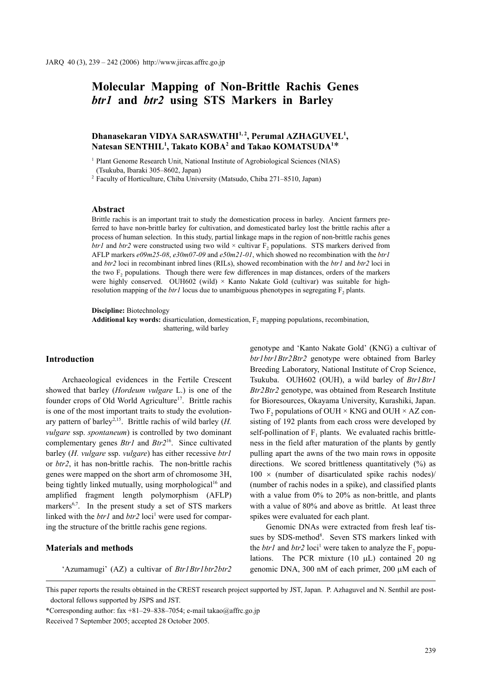# **Molecular Mapping of Non-Brittle Rachis Genes**  *btr1* **and** *btr2* **using STS Markers in Barley**

# Dhanasekaran VIDYA SARASWATHI<sup>1, 2</sup>, Perumal AZHAGUVEL<sup>1</sup>,  $N$ atesan SENTHIL<sup>1</sup>, Takato KOBA<sup>2</sup> and Takao KOMATSUDA<sup>1\*</sup>

<sup>1</sup> Plant Genome Research Unit, National Institute of Agrobiological Sciences (NIAS) (Tsukuba, Ibaraki 305–8602, Japan)

<sup>2</sup> Faculty of Horticulture, Chiba University (Matsudo, Chiba 271–8510, Japan)

#### **Abstract**

Brittle rachis is an important trait to study the domestication process in barley. Ancient farmers preferred to have non-brittle barley for cultivation, and domesticated barley lost the brittle rachis after a process of human selection. In this study, partial linkage maps in the region of non-brittle rachis genes *btr1* and *btr2* were constructed using two wild  $\times$  cultivar F<sub>2</sub> populations. STS markers derived from AFLP markers *e09m25-08*, *e30m07-09* and *e50m21-01*, which showed no recombination with the *btr1* and *btr2* loci in recombinant inbred lines (RILs), showed recombination with the *btr1* and *btr2* loci in the two  $F<sub>2</sub>$  populations. Though there were few differences in map distances, orders of the markers were highly conserved. OUH602 (wild)  $\times$  Kanto Nakate Gold (cultivar) was suitable for highresolution mapping of the *btr1* locus due to unambiguous phenotypes in segregating  $F_2$  plants.

**Discipline:** Biotechnology

Additional key words: disarticulation, domestication, F<sub>2</sub> mapping populations, recombination, shattering, wild barley

# **Introduction**

Archaeological evidences in the Fertile Crescent showed that barley (*Hordeum vulgare* L.) is one of the founder crops of Old World Agriculture<sup>17</sup>. Brittle rachis is one of the most important traits to study the evolutionary pattern of barley<sup>2,15</sup>. Brittle rachis of wild barley  $(H)$ . *vulgare* ssp. *spontaneum*) is controlled by two dominant complementary genes *Btr1* and *Btr2*16. Since cultivated barley (*H. vulgare* ssp. *vulgare*) has either recessive *btr1* or *btr2*, it has non-brittle rachis. The non-brittle rachis genes were mapped on the short arm of chromosome 3H, being tightly linked mutually, using morphological<sup>16</sup> and amplified fragment length polymorphism (AFLP) markers $6,7$ . In the present study a set of STS markers linked with the  $btr1$  and  $btr2$  loci<sup>1</sup> were used for comparing the structure of the brittle rachis gene regions.

#### **Materials and methods**

'Azumamugi' (AZ) a cultivar of *Btr1Btr1btr2btr2*

genotype and 'Kanto Nakate Gold' (KNG) a cultivar of *btr1btr1Btr2Btr2* genotype were obtained from Barley Breeding Laboratory, National Institute of Crop Science, Tsukuba. OUH602 (OUH), a wild barley of *Btr1Btr1 Btr2Btr2* genotype, was obtained from Research Institute for Bioresources, Okayama University, Kurashiki, Japan. Two F<sub>2</sub> populations of OUH  $\times$  KNG and OUH  $\times$  AZ consisting of 192 plants from each cross were developed by self-pollination of  $F_1$  plants. We evaluated rachis brittleness in the field after maturation of the plants by gently pulling apart the awns of the two main rows in opposite directions. We scored brittleness quantitatively (%) as  $100 \times$  (number of disarticulated spike rachis nodes)/ (number of rachis nodes in a spike), and classified plants with a value from 0% to 20% as non-brittle, and plants with a value of 80% and above as brittle. At least three spikes were evaluated for each plant.

Genomic DNAs were extracted from fresh leaf tissues by SDS-method<sup>8</sup>. Seven STS markers linked with the *btr1* and *btr2*  $loci^1$  were taken to analyze the  $F_2$  populations. The PCR mixture  $(10 \mu L)$  contained 20 ng genomic DNA, 300 nM of each primer, 200 μM each of

This paper reports the results obtained in the CREST research project supported by JST, Japan. P. Azhaguvel and N. Senthil are postdoctoral fellows supported by JSPS and JST.

\*Corresponding author: fax  $+81-29-838-7054$ ; e-mail takao@affrc.go.jp

Received 7 September 2005; accepted 28 October 2005.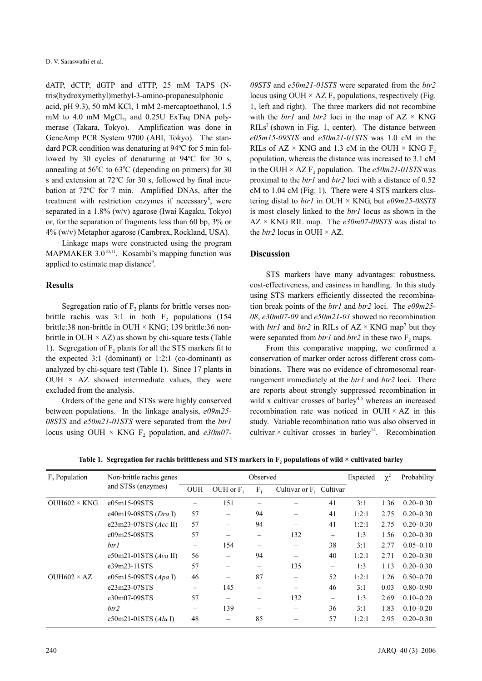D. V. Saraswathi et al.

dATP, dCTP, dGTP and dTTP, 25 mM TAPS (Ntris(hydroxymethyl)methyl-3-amino-propanesulphonic acid, pH 9.3), 50 mM KCl, 1 mM 2-mercaptoethanol, 1.5 mM to 4.0 mM  $MgCl<sub>2</sub>$ , and 0.25U ExTaq DNA polymerase (Takara, Tokyo). Amplification was done in GeneAmp PCR System 9700 (ABI, Tokyo). The standard PCR condition was denaturing at 94°C for 5 min followed by 30 cycles of denaturing at  $94^{\circ}$ C for 30 s, annealing at  $56^{\circ}$ C to  $63^{\circ}$ C (depending on primers) for 30 s and extension at 72°C for 30 s, followed by final incubation at 72°C for 7 min. Amplified DNAs, after the treatment with restriction enzymes if necessary<sup>8</sup>, were separated in a 1.8% (w/v) agarose (Iwai Kagaku, Tokyo) or, for the separation of fragments less than 60 bp, 3% or 4% (w/v) Metaphor agarose (Cambrex, Rockland, USA).

Linkage maps were constructed using the program MAPMAKER  $3.0^{10,11}$ . Kosambi's mapping function was applied to estimate map distance<sup>9</sup>.

# **Results**

Segregation ratio of  $F<sub>2</sub>$  plants for brittle verses nonbrittle rachis was  $3:1$  in both  $F<sub>2</sub>$  populations (154) brittle:38 non-brittle in OUH × KNG; 139 brittle:36 nonbrittle in OUH  $\times$  AZ) as shown by chi-square tests (Table 1). Segregation of  $F<sub>2</sub>$  plants for all the STS markers fit to the expected  $3:1$  (dominant) or  $1:2:1$  (co-dominant) as analyzed by chi-square test (Table 1). Since 17 plants in OUH  $\times$  AZ showed intermediate values, they were excluded from the analysis.

Orders of the gene and STSs were highly conserved between populations. In the linkage analysis, *e09m25- 08STS* and *e50m21-01STS* were separated from the *btr1* locus using OUH  $\times$  KNG F<sub>2</sub> population, and *e30m07*-

*09STS* and *e50m21-01STS* were separated from the *btr2* locus using OUH  $\times$  AZ F<sub>2</sub> populations, respectively (Fig. 1, left and right). The three markers did not recombine with the *btr1* and *btr2* loci in the map of  $AZ \times KNG$  $RILs<sup>7</sup>$  (shown in Fig. 1, center). The distance between *e05m15-09STS* and *e50m21-01STS* was 1.0 cM in the RILs of  $AZ \times KNG$  and 1.3 cM in the OUH  $\times KNG$  F<sub>2</sub> population, whereas the distance was increased to 3.1 cM in the OUH  $\times$  AZ F<sub>2</sub> population. The *e50m21-01STS* was proximal to the *btr1* and *btr2* loci with a distance of 0.52 cM to 1.04 cM (Fig. 1). There were 4 STS markers clustering distal to *btr1* in OUH × KNG, but *e09m25-08STS* is most closely linked to the *btr1* locus as shown in the AZ × KNG RIL map. The *e30m07-09STS* was distal to the  $btr2$  locus in OUH  $\times$  AZ.

#### **Discussion**

STS markers have many advantages: robustness, cost-effectiveness, and easiness in handling. In this study using STS markers efficiently dissected the recombination break points of the *btr1* and *btr2* loci. The *e09m25- 08*, *e30m07-09* and *e50m21-01* showed no recombination with *btr1* and *btr2* in RILs of  $AZ \times KNG$  map<sup>7</sup> but they were separated from *btr1* and *btr2* in these two F<sub>2</sub> maps.

From this comparative mapping, we confirmed a conservation of marker order across different cross combinations. There was no evidence of chromosomal rearrangement immediately at the *btr1* and *btr2* loci. There are reports about strongly suppressed recombination in wild x cultivar crosses of barley<sup>4,5</sup> whereas an increased recombination rate was noticed in OUH  $\times$  AZ in this study. Variable recombination ratio was also observed in cultivar  $\times$  cultivar crosses in barley<sup>14</sup>. Recombination

| F <sub>2</sub> Population | Non-brittle rachis genes<br>and STSs (enzymes) | Observed          |             |         |                            |    | Expected | $\chi^2$ | Probability   |
|---------------------------|------------------------------------------------|-------------------|-------------|---------|----------------------------|----|----------|----------|---------------|
|                           |                                                | <b>OUH</b>        | OUH or $F1$ | $F_{1}$ | Cultivar or $F_1$ Cultivar |    |          |          |               |
| $OUH602 \times KNG$       | e05m15-09STS                                   |                   | 151         |         |                            | 41 | 3:1      | 1.36     | $0.20 - 0.30$ |
|                           | e40m19-08STS (Dra I)                           | 57                |             | 94      |                            | 41 | 1:2:1    | 2.75     | $0.20 - 0.30$ |
|                           | e23m23-07STS $(Acc \text{ II})$                | 57                |             | 94      |                            | 41 | 1:2:1    | 2.75     | $0.20 - 0.30$ |
|                           | e09m25-08STS                                   | 57                |             |         | 132                        | -  | 1:3      | 1.56     | $0.20 - 0.30$ |
|                           | btr1                                           | -                 | 154         |         |                            | 38 | 3:1      | 2.77     | $0.05 - 0.10$ |
|                           | e50m21-01STS (Ava II)                          | 56                |             | 94      |                            | 40 | 1:2:1    | 2.71     | $0.20 - 0.30$ |
|                           | e39m23-11STS                                   | 57                |             |         | 135                        | -  | 1:3      | 1.13     | $0.20 - 0.30$ |
| OUH $602 \times AZ$       | e05m15-09STS $(Apa I)$                         | 46                |             | 87      |                            | 52 | 1:2:1    | 1.26     | $0.50 - 0.70$ |
|                           | e23m23-07STS                                   | -                 | 145         |         |                            | 46 | 3:1      | 0.03     | $0.80 - 0.90$ |
|                           | e30m07-09STS                                   | 57                |             |         | 132                        |    | 1:3      | 2.69     | $0.10 - 0.20$ |
|                           | btr2                                           | $\qquad \qquad -$ | 139         | -       | -                          | 36 | 3:1      | 1.83     | $0.10 - 0.20$ |
|                           | e50m21-01STS $(Alu)$                           | 48                |             | 85      |                            | 57 | 1:2:1    | 2.95     | $0.20 - 0.30$ |

Table 1. Segregation for rachis brittleness and STS markers in F<sub>2</sub> populations of wild × cultivated barley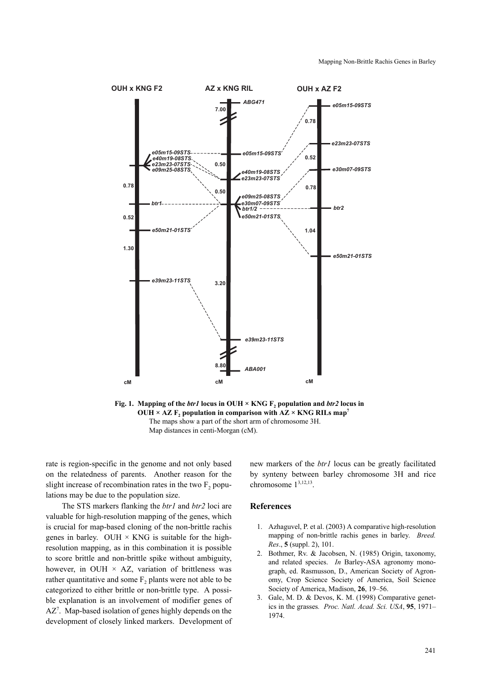

OUH  $\times$  AZ F<sub>2</sub> population in comparison with AZ  $\times$  KNG RILs map<sup>7</sup> The maps show a part of the short arm of chromosome 3H. Map distances in centi-Morgan (cM).

rate is region-specific in the genome and not only based on the relatedness of parents. Another reason for the slight increase of recombination rates in the two  $F<sub>2</sub>$  populations may be due to the population size.

The STS markers flanking the *btr1* and *btr2* loci are valuable for high-resolution mapping of the genes, which is crucial for map-based cloning of the non-brittle rachis genes in barley. OUH  $\times$  KNG is suitable for the highresolution mapping, as in this combination it is possible to score brittle and non-brittle spike without ambiguity, however, in OUH  $\times$  AZ, variation of brittleness was rather quantitative and some  $F<sub>2</sub>$  plants were not able to be categorized to either brittle or non-brittle type. A possible explanation is an involvement of modifier genes of  $AZ^7$ . Map-based isolation of genes highly depends on the development of closely linked markers. Development of new markers of the *btr1* locus can be greatly facilitated by synteny between barley chromosome 3H and rice chromosome 13,12,13.

# **References**

- 1. Azhaguvel, P. et al. (2003) A comparative high-resolution mapping of non-brittle rachis genes in barley. *Breed. Res*., **5** (suppl. 2), 101.
- 2. Bothmer, Rv. & Jacobsen, N. (1985) Origin, taxonomy, and related species. *In* Barley-ASA agronomy monograph, ed. Rasmusson, D., American Society of Agronomy, Crop Science Society of America, Soil Science Society of America, Madison, **26**, 19–56.
- 3. Gale, M. D. & Devos, K. M. (1998) Comparative genetics in the grasses*. Proc. Natl. Acad. Sci. USA*, **95**, 1971– 1974.